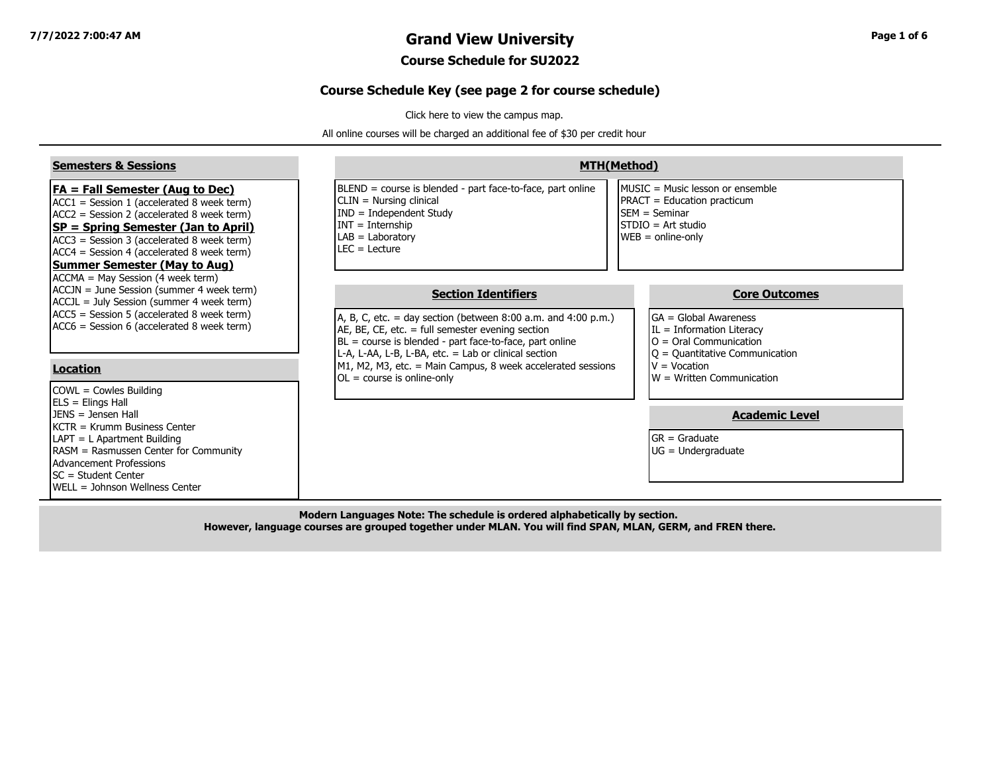## **7/7/2022 7:00:47 AM Grand View University Page 1 of 6**

#### **Course Schedule for SU2022**

#### **Course Schedule Key (see page 2 for course schedule)**

[Click here to view the campus map.](https://www.grandview.edu/filesimages/PDF/AboutGV/CampusDirections/gv_campus_map.pdf)

All online courses will be charged an additional fee of \$30 per credit hour

| <b>Semesters &amp; Sessions</b>                                                                                                                                                                                                                                                                                           | <b>MTH(Method)</b>                                                                                                                                                                                                                                                                                                                                                      |                                                                                                                                                                                                          |  |  |  |  |  |  |  |
|---------------------------------------------------------------------------------------------------------------------------------------------------------------------------------------------------------------------------------------------------------------------------------------------------------------------------|-------------------------------------------------------------------------------------------------------------------------------------------------------------------------------------------------------------------------------------------------------------------------------------------------------------------------------------------------------------------------|----------------------------------------------------------------------------------------------------------------------------------------------------------------------------------------------------------|--|--|--|--|--|--|--|
| <b>FA = Fall Semester (Aug to Dec)</b><br>$ACC1 = Session 1 (accelerated 8 week term)$<br>$ACC2 = Session 2 (accelerated 8 week term)$<br><b>SP = Spring Semester (Jan to April)</b><br>ACC3 = Session 3 (accelerated 8 week term)<br>$ACC4 = Session 4 (accelerated 8 week term)$<br><b>Summer Semester (May to Aug)</b> | BLEND = course is blended - part face-to-face, part online<br>CLIN = Nursing clinical<br>$IND = Independent Study$<br>$INT = Internship$<br>$LAB = Laboratory$<br>$LEC = Lecture$                                                                                                                                                                                       | MUSIC = Music lesson or ensemble<br><b>PRACT</b> = Education practicum<br><b>ISEM</b> = Seminar<br>STDIO = Art studio<br>$WEB = online-only$                                                             |  |  |  |  |  |  |  |
| ACCMA = May Session (4 week term)<br>ACCJN = June Session (summer 4 week term)<br>ACCJL = July Session (summer 4 week term)<br>ACC5 = Session 5 (accelerated 8 week term)<br>ACC6 = Session 6 (accelerated 8 week term)<br>Location<br>COWL = Cowles Building                                                             | <b>Section Identifiers</b><br>A, B, C, etc. = day section (between $8:00$ a.m. and $4:00$ p.m.)<br>AE, BE, CE, etc. $=$ full semester evening section<br>BL = course is blended - part face-to-face, part online<br>L-A, L-AA, L-B, L-BA, etc. = Lab or clinical section<br>M1, M2, M3, etc. = Main Campus, 8 week accelerated sessions<br>$OL = course$ is online-only | <b>Core Outcomes</b><br><b>I</b> GA = Global Awareness<br>$IL = Information Literary$<br>$O =$ Oral Communication<br>$ Q =$ Quantitative Communication<br>$V = Vocation$<br>$W = W$ ritten Communication |  |  |  |  |  |  |  |
| $ ELS = Elings Hall$<br>$IFNS = Jensen Hall$<br>IKCTR = Krumm Business Center<br>LAPT = L Apartment Building<br>RASM = Rasmussen Center for Community<br>Advancement Professions<br>ISC = Student Center<br><b>IWELL = Johnson Wellness Center</b>                                                                        |                                                                                                                                                                                                                                                                                                                                                                         | <b>Academic Level</b><br>$GR = Graduate$<br>$UG = Undergraduate$                                                                                                                                         |  |  |  |  |  |  |  |

**Modern Languages Note: The schedule is ordered alphabetically by section. However, language courses are grouped together under MLAN. You will find SPAN, MLAN, GERM, and FREN there.**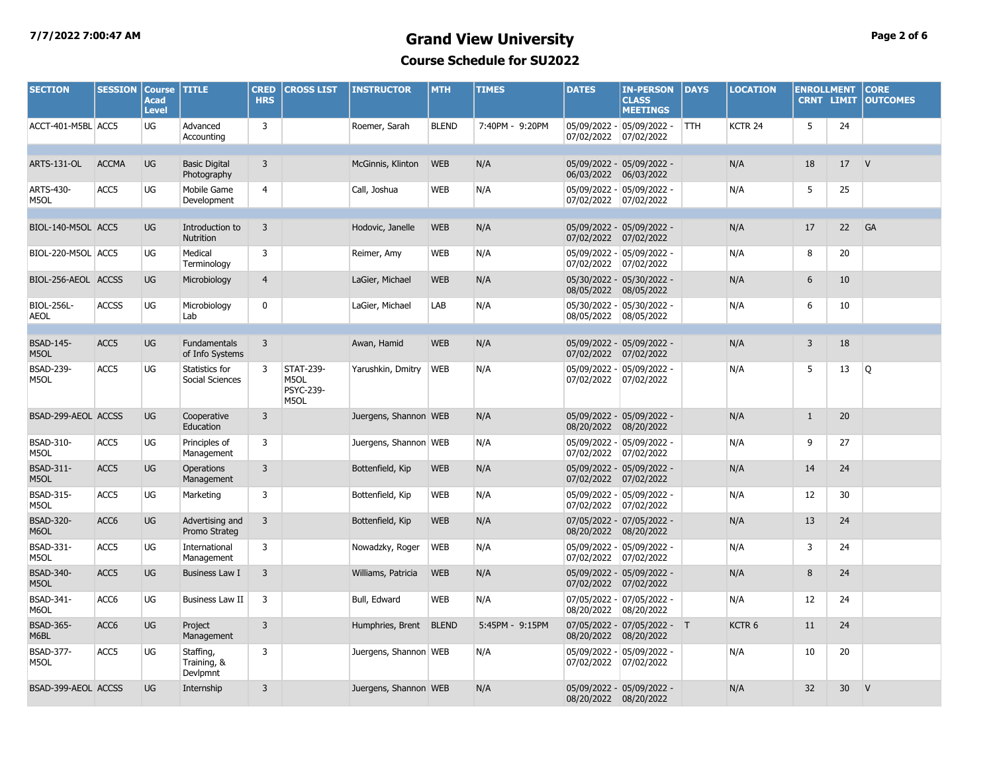## **7/7/2022 7:00:47 AM Grand View University Page 2 of 6 Course Schedule for SU2022**

| <b>SECTION</b>            | <b>SESSION</b>   | <b>Course</b><br><b>Acad</b><br><b>Level</b> | <b>TITLE</b>                           | <b>CRED</b><br><b>HRS</b> | <b>CROSS LIST</b>                             | <b>INSTRUCTOR</b>     | <b>MTH</b>   | <b>TIMES</b>    | <b>DATES</b>               | <b>IN-PERSON</b><br><b>CLASS</b><br><b>MEETINGS</b> | <b>DAYS</b> | <b>LOCATION</b>    | <b>ENROLLMENT</b> | <b>CRNT LIMIT</b> | <b>CORE</b><br><b>OUTCOMES</b> |
|---------------------------|------------------|----------------------------------------------|----------------------------------------|---------------------------|-----------------------------------------------|-----------------------|--------------|-----------------|----------------------------|-----------------------------------------------------|-------------|--------------------|-------------------|-------------------|--------------------------------|
| ACCT-401-M5BL ACC5        |                  | UG                                           | Advanced<br>Accounting                 | $\overline{3}$            |                                               | Roemer, Sarah         | <b>BLEND</b> | 7:40PM - 9:20PM | 07/02/2022                 | 05/09/2022 - 05/09/2022 -<br>07/02/2022             | <b>TTH</b>  | KCTR <sub>24</sub> | 5                 | 24                |                                |
| ARTS-131-OL               | <b>ACCMA</b>     | <b>UG</b>                                    | <b>Basic Digital</b><br>Photography    | $\overline{3}$            |                                               | McGinnis, Klinton     | <b>WEB</b>   | N/A             | 06/03/2022                 | 05/09/2022 - 05/09/2022 -<br>06/03/2022             |             | N/A                | 18                | 17                | V                              |
| ARTS-430-<br>M5OL         | ACC5             | UG                                           | Mobile Game<br>Development             | 4                         |                                               | Call, Joshua          | <b>WEB</b>   | N/A             | 07/02/2022 07/02/2022      | 05/09/2022 - 05/09/2022 -                           |             | N/A                | 5                 | 25                |                                |
| BIOL-140-M5OL ACC5        |                  | UG                                           | Introduction to<br>Nutrition           | $\overline{3}$            |                                               | Hodovic, Janelle      | <b>WEB</b>   | N/A             | 07/02/2022                 | 05/09/2022 - 05/09/2022 -<br>07/02/2022             |             | N/A                | 17                | 22                | GA                             |
| BIOL-220-M5OL ACC5        |                  | UG                                           | Medical<br>Terminology                 | 3                         |                                               | Reimer, Amy           | <b>WEB</b>   | N/A             | 07/02/2022                 | 05/09/2022 - 05/09/2022 -<br>07/02/2022             |             | N/A                | 8                 | 20                |                                |
| BIOL-256-AEOL ACCSS       |                  | UG                                           | Microbiology                           | $\overline{4}$            |                                               | LaGier, Michael       | <b>WEB</b>   | N/A             | 08/05/2022                 | 05/30/2022 - 05/30/2022 -<br>08/05/2022             |             | N/A                | 6                 | 10                |                                |
| BIOL-256L-<br><b>AEOL</b> | <b>ACCSS</b>     | UG                                           | Microbiology<br>Lab                    | $\mathbf 0$               |                                               | LaGier, Michael       | LAB          | N/A             | 08/05/2022                 | 05/30/2022 - 05/30/2022 -<br>08/05/2022             |             | N/A                | 6                 | 10                |                                |
|                           |                  |                                              |                                        |                           |                                               |                       |              |                 |                            |                                                     |             |                    |                   |                   |                                |
| <b>BSAD-145-</b><br>M5OL  | ACC5             | <b>UG</b>                                    | <b>Fundamentals</b><br>of Info Systems | $\overline{3}$            |                                               | Awan, Hamid           | <b>WEB</b>   | N/A             | 07/02/2022                 | 05/09/2022 - 05/09/2022 -<br>07/02/2022             |             | N/A                | $\overline{3}$    | 18                |                                |
| <b>BSAD-239-</b><br>M5OL  | ACC5             | UG                                           | Statistics for<br>Social Sciences      | 3                         | <b>STAT-239-</b><br>M5OL<br>PSYC-239-<br>M5OL | Yarushkin, Dmitry     | <b>WEB</b>   | N/A             | 07/02/2022                 | 05/09/2022 - 05/09/2022 -<br>07/02/2022             |             | N/A                | 5                 | 13                | Q                              |
| BSAD-299-AEOL ACCSS       |                  | <b>UG</b>                                    | Cooperative<br>Education               | $\overline{3}$            |                                               | Juergens, Shannon WEB |              | N/A             | 08/20/2022                 | 05/09/2022 - 05/09/2022 -<br>08/20/2022             |             | N/A                | $\mathbf{1}$      | 20                |                                |
| BSAD-310-<br>M5OL         | ACC5             | UG                                           | Principles of<br>Management            | 3                         |                                               | Juergens, Shannon WEB |              | N/A             | 07/02/2022                 | 05/09/2022 - 05/09/2022 -<br>07/02/2022             |             | N/A                | 9                 | 27                |                                |
| <b>BSAD-311-</b><br>M5OL  | ACC5             | UG                                           | Operations<br>Management               | 3                         |                                               | Bottenfield, Kip      | <b>WEB</b>   | N/A             | 07/02/2022                 | 05/09/2022 - 05/09/2022 -<br>07/02/2022             |             | N/A                | 14                | 24                |                                |
| BSAD-315-<br>M5OL         | ACC5             | UG                                           | Marketing                              | 3                         |                                               | Bottenfield, Kip      | <b>WEB</b>   | N/A             | 07/02/2022                 | 05/09/2022 - 05/09/2022 -<br>07/02/2022             |             | N/A                | 12                | 30                |                                |
| <b>BSAD-320-</b><br>M6OL  | ACC6             | UG                                           | Advertising and<br>Promo Strateg       | $\overline{3}$            |                                               | Bottenfield, Kip      | <b>WEB</b>   | N/A             | 08/20/2022                 | 07/05/2022 - 07/05/2022 -<br>08/20/2022             |             | N/A                | 13                | 24                |                                |
| BSAD-331-<br>M5OL         | ACC5             | UG                                           | International<br>Management            | 3                         |                                               | Nowadzky, Roger       | <b>WEB</b>   | N/A             | 05/09/2022 -<br>07/02/2022 | 05/09/2022 -<br>07/02/2022                          |             | N/A                | 3                 | 24                |                                |
| <b>BSAD-340-</b><br>M5OL  | ACC <sub>5</sub> | <b>UG</b>                                    | <b>Business Law I</b>                  | $\overline{3}$            |                                               | Williams, Patricia    | <b>WEB</b>   | N/A             | 07/02/2022                 | 05/09/2022 - 05/09/2022 -<br>07/02/2022             |             | N/A                | 8                 | 24                |                                |
| <b>BSAD-341-</b><br>M6OL  | ACC6             | UG                                           | <b>Business Law II</b>                 | 3                         |                                               | Bull, Edward          | <b>WEB</b>   | N/A             | 08/20/2022                 | 07/05/2022 - 07/05/2022 -<br>08/20/2022             |             | N/A                | 12                | 24                |                                |
| <b>BSAD-365-</b><br>M6BL  | ACC6             | UG                                           | Project<br>Management                  | $\overline{3}$            |                                               | Humphries, Brent      | <b>BLEND</b> | 5:45PM - 9:15PM | 08/20/2022                 | 07/05/2022 - 07/05/2022 - T<br>08/20/2022           |             | KCTR <sub>6</sub>  | 11                | 24                |                                |
| <b>BSAD-377-</b><br>M5OL  | ACC5             | UG                                           | Staffing,<br>Training, &<br>Devlpmnt   | 3                         |                                               | Juergens, Shannon WEB |              | N/A             | 05/09/2022 -<br>07/02/2022 | $05/09/2022 -$<br>07/02/2022                        |             | N/A                | 10                | 20                |                                |
| BSAD-399-AEOL ACCSS       |                  | <b>UG</b>                                    | Internship                             | 3                         |                                               | Juergens, Shannon WEB |              | N/A             | 08/20/2022 08/20/2022      | 05/09/2022 - 05/09/2022 -                           |             | N/A                | 32                | 30 <sup>°</sup>   | V                              |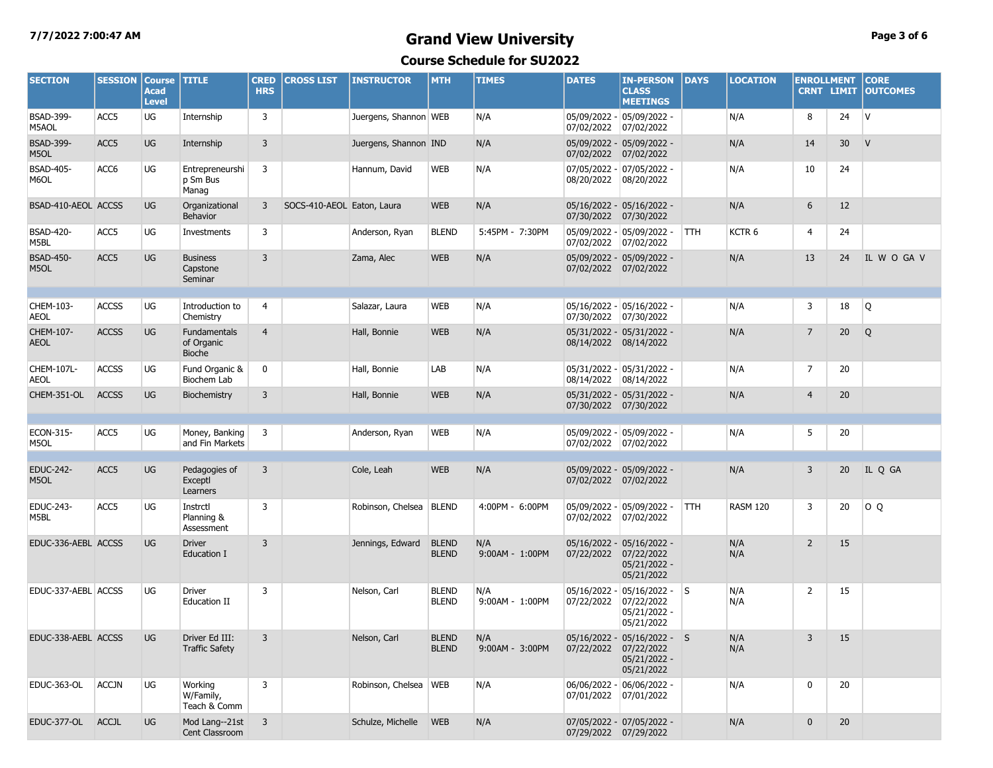# **7/7/2022 7:00:47 AM Grand View University Page 3 of 6**

**Course Schedule for SU2022**

| <b>SECTION</b>                        | <b>SESSION</b> | <b>Course</b><br><b>Acad</b><br><b>Level</b> | <b>TITLE</b>                           | <b>CRED</b><br><b>HRS</b> | <b>CROSS LIST</b>          | <b>INSTRUCTOR</b>      | <b>MTH</b>                   | <b>TIMES</b>           | <b>DATES</b>               | <b>IN-PERSON</b><br><b>CLASS</b><br><b>MEETINGS</b>                   | <b>DAYS</b> | <b>LOCATION</b> | <b>ENROLLMENT</b> | <b>CRNT LIMIT</b> | <b>CORE</b><br><b>OUTCOMES</b> |
|---------------------------------------|----------------|----------------------------------------------|----------------------------------------|---------------------------|----------------------------|------------------------|------------------------------|------------------------|----------------------------|-----------------------------------------------------------------------|-------------|-----------------|-------------------|-------------------|--------------------------------|
| <b>BSAD-399-</b><br>M5AOL             | ACC5           | UG                                           | Internship                             | 3                         |                            | Juergens, Shannon WEB  |                              | N/A                    | 07/02/2022                 | 05/09/2022 - 05/09/2022 -<br>07/02/2022                               |             | N/A             | 8                 | 24                | $\mathsf{V}$                   |
| <b>BSAD-399-</b><br>M5OL              | ACC5           | UG                                           | Internship                             | $\overline{3}$            |                            | Juergens, Shannon IND  |                              | N/A                    | 07/02/2022                 | 05/09/2022 - 05/09/2022 -<br>07/02/2022                               |             | N/A             | 14                | 30 <sup>°</sup>   | V                              |
| <b>BSAD-405-</b><br>M6OL              | ACC6           | UG                                           | Entrepreneurshi<br>p Sm Bus<br>Manag   | 3                         |                            | Hannum, David          | <b>WEB</b>                   | N/A                    | 07/05/2022 -<br>08/20/2022 | $07/05/2022 -$<br>08/20/2022                                          |             | N/A             | 10                | 24                |                                |
| BSAD-410-AEOL ACCSS                   |                | <b>UG</b>                                    | Organizational<br><b>Behavior</b>      | 3                         | SOCS-410-AEOL Eaton, Laura |                        | <b>WEB</b>                   | N/A                    | 07/30/2022                 | 05/16/2022 - 05/16/2022 -<br>07/30/2022                               |             | N/A             | 6                 | 12                |                                |
| <b>BSAD-420-</b><br>M5BL              | ACC5           | UG                                           | Investments                            | 3                         |                            | Anderson, Ryan         | <b>BLEND</b>                 | 5:45PM - 7:30PM        | 07/02/2022                 | 05/09/2022 - 05/09/2022 -<br>07/02/2022                               | <b>TTH</b>  | KCTR 6          | 4                 | 24                |                                |
| <b>BSAD-450-</b><br>M5OL              | ACC5           | UG                                           | <b>Business</b><br>Capstone<br>Seminar | $\overline{3}$            |                            | Zama, Alec             | <b>WEB</b>                   | N/A                    | 07/02/2022 07/02/2022      | 05/09/2022 - 05/09/2022 -                                             |             | N/A             | 13                | 24                | IL W O GA V                    |
| CHEM-103-                             | <b>ACCSS</b>   | UG                                           | Introduction to                        | 4                         |                            | Salazar, Laura         | <b>WEB</b>                   | N/A                    |                            | 05/16/2022 - 05/16/2022 -                                             |             | N/A             | 3                 | 18                | Q                              |
| <b>AEOL</b>                           |                | UG                                           | Chemistry                              | $\overline{4}$            |                            |                        |                              |                        | 07/30/2022                 | 07/30/2022                                                            |             |                 | $\overline{7}$    |                   |                                |
| CHEM-107-<br><b>AEOL</b>              | <b>ACCSS</b>   |                                              | Fundamentals<br>of Organic<br>Bioche   |                           |                            | Hall, Bonnie           | <b>WEB</b>                   | N/A                    | 08/14/2022 08/14/2022      | 05/31/2022 - 05/31/2022 -                                             |             | N/A             |                   | 20                | Q                              |
| CHEM-107L-<br><b>AEOL</b>             | <b>ACCSS</b>   | UG                                           | Fund Organic &<br>Biochem Lab          | $\mathbf 0$               |                            | Hall, Bonnie           | LAB                          | N/A                    | 08/14/2022                 | 05/31/2022 - 05/31/2022 -<br>08/14/2022                               |             | N/A             | 7                 | 20                |                                |
| CHEM-351-OL                           | <b>ACCSS</b>   | UG                                           | Biochemistry                           | $\overline{3}$            |                            | Hall, Bonnie           | <b>WEB</b>                   | N/A                    | 07/30/2022 07/30/2022      | 05/31/2022 - 05/31/2022 -                                             |             | N/A             | $\overline{4}$    | 20                |                                |
| ECON-315-                             | ACC5           | UG                                           |                                        |                           |                            |                        | <b>WEB</b>                   | N/A                    |                            | 05/09/2022 - 05/09/2022 -                                             |             |                 |                   |                   |                                |
| M5OL                                  |                |                                              | Money, Banking<br>and Fin Markets      | 3                         |                            | Anderson, Ryan         |                              |                        | 07/02/2022 07/02/2022      |                                                                       |             | N/A             | 5                 | 20                |                                |
| EDUC-242-<br>M5OL                     | ACC5           | UG                                           | Pedagogies of<br>Exceptl<br>Learners   | $\overline{3}$            |                            | Cole, Leah             | <b>WEB</b>                   | N/A                    | 07/02/2022 07/02/2022      | 05/09/2022 - 05/09/2022 -                                             |             | N/A             | 3                 | 20                | IL Q GA                        |
| EDUC-243-<br>M5BL                     | ACC5           | UG                                           | Instrctl<br>Planning &<br>Assessment   | 3                         |                            | Robinson, Chelsea      | <b>BLEND</b>                 | 4:00PM - 6:00PM        | 07/02/2022                 | 05/09/2022 - 05/09/2022 -<br>07/02/2022                               | <b>TTH</b>  | <b>RASM 120</b> | 3                 | 20                | O Q                            |
| EDUC-336-AEBL ACCSS                   |                | <b>UG</b>                                    | <b>Driver</b><br><b>Education I</b>    | 3                         |                            | Jennings, Edward       | <b>BLEND</b><br><b>BLEND</b> | N/A<br>9:00AM - 1:00PM | 07/22/2022                 | 05/16/2022 - 05/16/2022 -<br>07/22/2022<br>05/21/2022 -<br>05/21/2022 |             | N/A<br>N/A      | $\overline{2}$    | 15                |                                |
| EDUC-337-AEBL ACCSS                   |                | UG                                           | <b>Driver</b><br><b>Education II</b>   | 3                         |                            | Nelson, Carl           | <b>BLEND</b><br><b>BLEND</b> | N/A<br>9:00AM - 1:00PM | 05/16/2022 -<br>07/22/2022 | $ 05/16/2022 -  S $<br>07/22/2022<br>05/21/2022 -<br>05/21/2022       |             | N/A<br>N/A      | $\overline{2}$    | 15                |                                |
| EDUC-338-AEBL ACCSS UG Driver Ed III: |                |                                              | <b>Traffic Safety</b>                  | 3 <sup>7</sup>            |                            | Nelson, Carl BLEND N/A | <b>BLEND</b>                 | 9:00AM - 3:00PM        | 07/22/2022 07/22/2022      | 05/16/2022 - 05/16/2022 - S<br>05/21/2022 -<br>05/21/2022             |             | N/A<br>N/A      | 3 <sup>7</sup>    | 15                |                                |
| EDUC-363-OL                           | <b>ACCJN</b>   | UG                                           | Working<br>W/Family,<br>Teach & Comm   | 3                         |                            | Robinson, Chelsea WEB  |                              | N/A                    | 07/01/2022                 | 06/06/2022 - 06/06/2022 -<br>07/01/2022                               |             | N/A             | 0                 | 20                |                                |
| EDUC-377-OL ACCJL                     |                | UG                                           | Mod Lang--21st<br>Cent Classroom       | $\overline{3}$            |                            | Schulze, Michelle WEB  |                              | N/A                    | 07/29/2022 07/29/2022      | 07/05/2022 - 07/05/2022 -                                             |             | N/A             | $\mathbf 0$       | 20                |                                |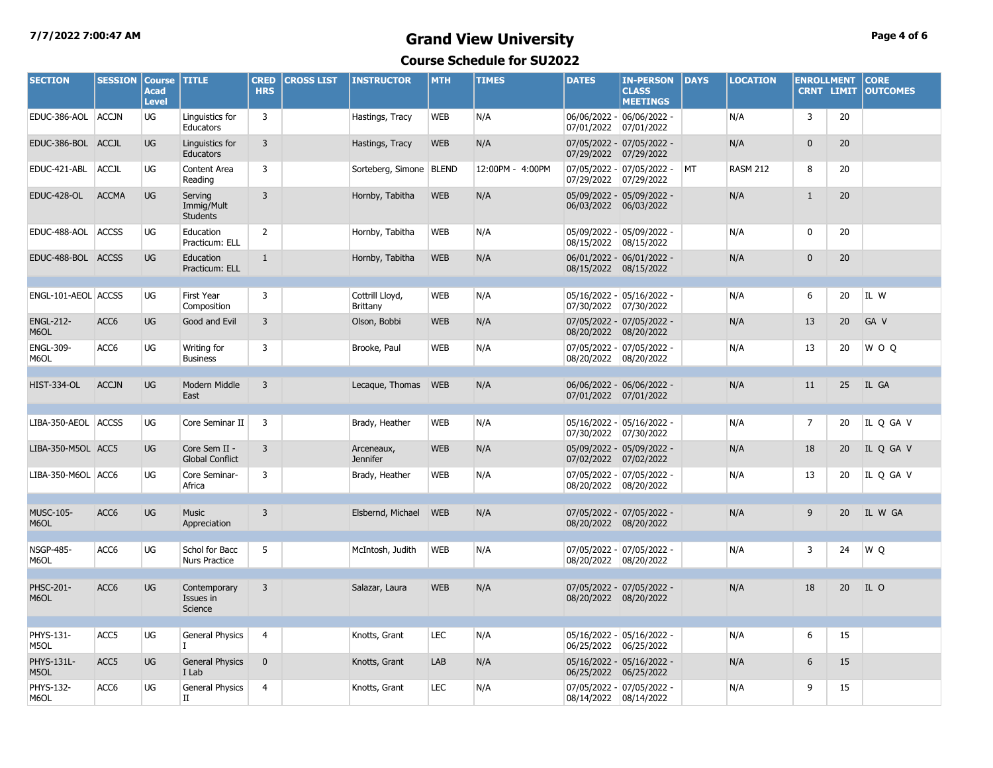### **7/7/2022 7:00:47 AM Grand View University Page 4 of 6 Course Schedule for SU2022**

| <b>SECTION</b>            | <b>SESSION</b>   | <b>Course</b><br><b>Acad</b><br><b>Level</b> | <b>TITLE</b>                             | <b>CRED</b><br><b>HRS</b> | <b>CROSS LIST</b> | <b>INSTRUCTOR</b>             | <b>MTH</b> | <b>TIMES</b>     | <b>DATES</b>          | <b>IN-PERSON</b><br><b>CLASS</b><br><b>MEETINGS</b> | <b>DAYS</b> | <b>LOCATION</b> | <b>ENROLLMENT</b><br><b>CRNT LIMIT</b> |    | <b>CORE</b><br><b>OUTCOMES</b> |
|---------------------------|------------------|----------------------------------------------|------------------------------------------|---------------------------|-------------------|-------------------------------|------------|------------------|-----------------------|-----------------------------------------------------|-------------|-----------------|----------------------------------------|----|--------------------------------|
| EDUC-386-AOL ACCJN        |                  | UG                                           | Linguistics for<br>Educators             | 3                         |                   | Hastings, Tracy               | <b>WEB</b> | N/A              | 07/01/2022            | 06/06/2022 - 06/06/2022 -<br>07/01/2022             |             | N/A             | 3                                      | 20 |                                |
| EDUC-386-BOL ACCJL        |                  | UG                                           | Linguistics for<br>Educators             | 3                         |                   | Hastings, Tracy               | <b>WEB</b> | N/A              | 07/29/2022            | 07/05/2022 - 07/05/2022 -<br>07/29/2022             |             | N/A             | $\mathbf 0$                            | 20 |                                |
| EDUC-421-ABL              | ACCJL            | UG                                           | Content Area<br>Reading                  | 3                         |                   | Sorteberg, Simone   BLEND     |            | 12:00PM - 4:00PM | 07/29/2022            | 07/05/2022 - 07/05/2022 -<br> 07/29/2022            | <b>MT</b>   | <b>RASM 212</b> | 8                                      | 20 |                                |
| <b>EDUC-428-OL</b>        | <b>ACCMA</b>     | UG                                           | Serving<br>Immig/Mult<br><b>Students</b> | $\overline{3}$            |                   | Hornby, Tabitha               | <b>WEB</b> | N/A              | 06/03/2022            | 05/09/2022 - 05/09/2022 -<br>06/03/2022             |             | N/A             | $\mathbf{1}$                           | 20 |                                |
| EDUC-488-AOL ACCSS        |                  | UG                                           | Education<br>Practicum: ELL              | $\overline{2}$            |                   | Hornby, Tabitha               | <b>WEB</b> | N/A              | 08/15/2022            | 05/09/2022 - 05/09/2022 -<br>08/15/2022             |             | N/A             | 0                                      | 20 |                                |
| EDUC-488-BOL ACCSS        |                  | UG                                           | Education<br>Practicum: ELL              | $\mathbf{1}$              |                   | Hornby, Tabitha               | <b>WEB</b> | N/A              | 08/15/2022 08/15/2022 | 06/01/2022 - 06/01/2022 -                           |             | N/A             | $\mathbf{0}$                           | 20 |                                |
| ENGL-101-AEOL ACCSS       |                  | UG                                           | First Year<br>Composition                | 3                         |                   | Cottrill Lloyd,<br>Brittany   | <b>WEB</b> | N/A              | 07/30/2022            | 05/16/2022 - 05/16/2022 -<br> 07/30/2022            |             | N/A             | 6                                      | 20 | IL W                           |
| <b>ENGL-212-</b><br>M6OL  | ACC <sub>6</sub> | <b>UG</b>                                    | Good and Evil                            | 3                         |                   | Olson, Bobbi                  | <b>WEB</b> | N/A              | 08/20/2022            | 07/05/2022 - 07/05/2022 -<br>08/20/2022             |             | N/A             | 13                                     | 20 | GA V                           |
| <b>ENGL-309-</b><br>M6OL  | ACC6             | UG                                           | Writing for<br><b>Business</b>           | 3                         |                   | Brooke, Paul                  | <b>WEB</b> | N/A              | 08/20/2022            | 07/05/2022 - 07/05/2022 -<br>08/20/2022             |             | N/A             | 13                                     | 20 | W O Q                          |
|                           |                  |                                              |                                          |                           |                   |                               |            |                  |                       |                                                     |             |                 |                                        |    |                                |
| <b>HIST-334-OL</b>        | <b>ACCJN</b>     | UG                                           | Modern Middle<br>East                    | $\overline{3}$            |                   | Lecaque, Thomas WEB           |            | N/A              | 07/01/2022 07/01/2022 | 06/06/2022 - 06/06/2022 -                           |             | N/A             | 11                                     | 25 | IL GA                          |
| LIBA-350-AEOL ACCSS       |                  | UG                                           | Core Seminar II                          | 3                         |                   | Brady, Heather                | <b>WEB</b> | N/A              | 07/30/2022            | 05/16/2022 - 05/16/2022 -<br> 07/30/2022            |             | N/A             | $\overline{7}$                         | 20 | IL Q GA V                      |
| LIBA-350-M5OL ACC5        |                  | UG                                           | Core Sem II -<br><b>Global Conflict</b>  | 3                         |                   | Arceneaux,<br><b>Jennifer</b> | <b>WEB</b> | N/A              | 07/02/2022            | 05/09/2022 - 05/09/2022 -<br>07/02/2022             |             | N/A             | 18                                     | 20 | IL Q GA V                      |
| LIBA-350-M6OL ACC6        |                  | UG                                           | Core Seminar-<br>Africa                  | 3                         |                   | Brady, Heather                | <b>WEB</b> | N/A              | 08/20/2022 08/20/2022 | 07/05/2022 - 07/05/2022 -                           |             | N/A             | 13                                     | 20 | IL Q GA V                      |
| <b>MUSC-105-</b><br>M6OL  | ACC6             | UG                                           | <b>Music</b><br>Appreciation             | $\overline{3}$            |                   | Elsbernd, Michael             | <b>WEB</b> | N/A              | 08/20/2022 08/20/2022 | 07/05/2022 - 07/05/2022 -                           |             | N/A             | 9                                      | 20 | IL W GA                        |
| <b>NSGP-485-</b><br>M6OL  | ACC6             | UG                                           | Schol for Bacc<br><b>Nurs Practice</b>   | 5                         |                   | McIntosh, Judith              | <b>WEB</b> | N/A              | 08/20/2022 08/20/2022 | 07/05/2022 - 07/05/2022 -                           |             | N/A             | 3                                      | 24 | WQ                             |
| PHSC-201-<br>M6OL         | ACC6             | UG                                           | Contemporary<br>Issues in<br>Science     | $\overline{3}$            |                   | Salazar, Laura                | <b>WEB</b> | N/A              | 08/20/2022 08/20/2022 | 07/05/2022 - 07/05/2022 -                           |             | N/A             | 18                                     | 20 | IL O                           |
|                           |                  |                                              |                                          |                           |                   |                               |            |                  |                       |                                                     |             |                 |                                        |    |                                |
| PHYS-131-<br>M5OL         | ACC <sub>5</sub> | UG                                           | <b>General Physics</b>                   | 4                         |                   | Knotts, Grant                 | LEC        | N/A              | 06/25/2022            | 05/16/2022 - 05/16/2022 -<br>06/25/2022             |             | N/A             | 6                                      | 15 |                                |
| <b>PHYS-131L-</b><br>M5OL | ACC5             | <b>UG</b>                                    | <b>General Physics</b><br>I Lab          | $\mathbf 0$               |                   | Knotts, Grant                 | LAB        | N/A              | 06/25/2022            | 05/16/2022 - 05/16/2022 -<br>06/25/2022             |             | N/A             | 6                                      | 15 |                                |
| PHYS-132-<br>M6OL         | ACC6             | UG                                           | General Physics<br>П                     | $\overline{4}$            |                   | Knotts, Grant                 | LEC        | N/A              | 08/14/2022 08/14/2022 | 07/05/2022 - 07/05/2022 -                           |             | N/A             | 9                                      | 15 |                                |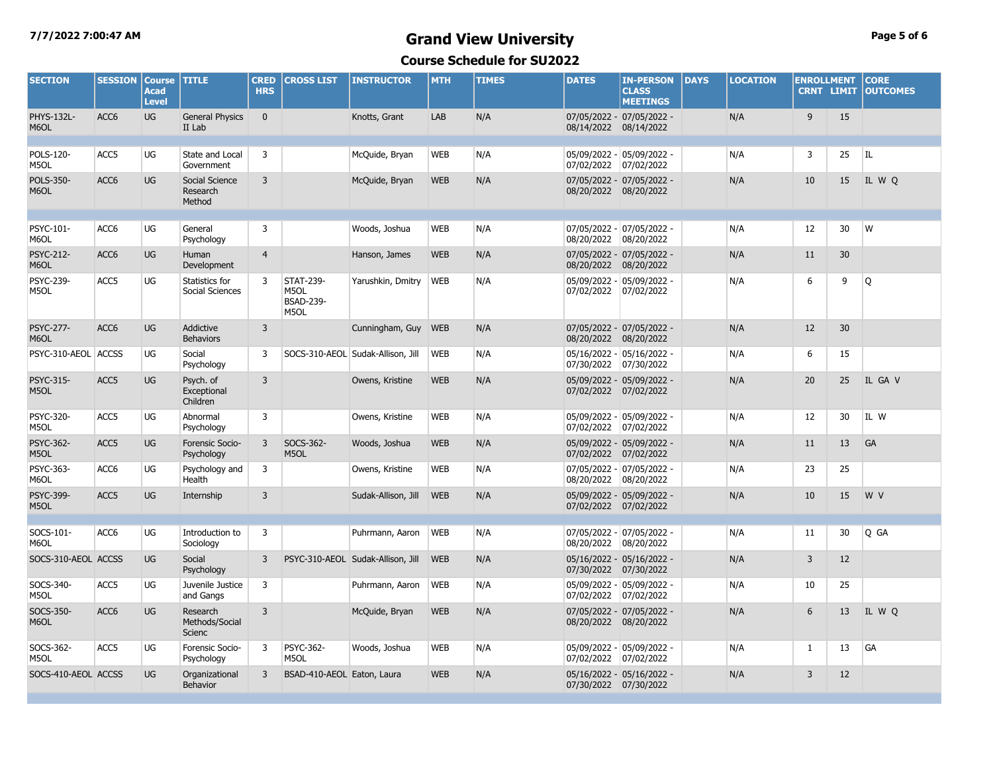### **7/7/2022 7:00:47 AM Grand View University Page 5 of 6 Course Schedule for SU2022**

| <b>SECTION</b>            | <b>SESSION</b>   | <b>Course</b><br><b>Acad</b><br><b>Level</b> | <b>TITLE</b>                         | <b>CRED</b><br><b>HRS</b> | <b>CROSS LIST</b>                                    | <b>INSTRUCTOR</b>                 | <b>MTH</b> | <b>TIMES</b> | <b>DATES</b>           | <b>IN-PERSON</b><br><b>CLASS</b><br><b>MEETINGS</b> | <b>DAYS</b> | <b>LOCATION</b> | <b>ENROLLMENT</b><br><b>CRNT LIMIT</b> |    | <b>CORE</b><br><b>OUTCOMES</b> |
|---------------------------|------------------|----------------------------------------------|--------------------------------------|---------------------------|------------------------------------------------------|-----------------------------------|------------|--------------|------------------------|-----------------------------------------------------|-------------|-----------------|----------------------------------------|----|--------------------------------|
| <b>PHYS-132L-</b><br>M6OL | ACC <sub>6</sub> | <b>UG</b>                                    | <b>General Physics</b><br>II Lab     | $\mathbf{0}$              |                                                      | Knotts, Grant                     | LAB        | N/A          | 08/14/2022 08/14/2022  | 07/05/2022 - 07/05/2022 -                           |             | N/A             | 9                                      | 15 |                                |
| POLS-120-<br>M5OL         | ACC5             | UG                                           | State and Local<br>Government        | 3                         |                                                      | McQuide, Bryan                    | <b>WEB</b> | N/A          | 07/02/2022 07/02/2022  | 05/09/2022 - 05/09/2022 -                           |             | N/A             | 3                                      | 25 | l IL.                          |
| POLS-350-<br>M6OL         | ACC <sub>6</sub> | UG                                           | Social Science<br>Research<br>Method | 3                         |                                                      | McQuide, Bryan                    | <b>WEB</b> | N/A          | 08/20/2022 08/20/2022  | 07/05/2022 - 07/05/2022 -                           |             | N/A             | 10                                     | 15 | IL W Q                         |
| PSYC-101-<br>M6OL         | ACC6             | UG                                           | General<br>Psychology                | 3                         |                                                      | Woods, Joshua                     | <b>WEB</b> | N/A          | 08/20/2022 08/20/2022  | 07/05/2022 - 07/05/2022 -                           |             | N/A             | 12                                     | 30 | W                              |
| <b>PSYC-212-</b><br>M6OL  | ACC <sub>6</sub> | <b>UG</b>                                    | Human<br>Development                 | $\overline{4}$            |                                                      | Hanson, James                     | <b>WEB</b> | N/A          | 08/20/2022 08/20/2022  | 07/05/2022 - 07/05/2022 -                           |             | N/A             | 11                                     | 30 |                                |
| PSYC-239-<br>M5OL         | ACC <sub>5</sub> | UG                                           | Statistics for<br>Social Sciences    | 3                         | <b>STAT-239-</b><br>M5OL<br><b>BSAD-239-</b><br>M5OL | Yarushkin, Dmitry                 | <b>WEB</b> | N/A          | 07/02/2022 07/02/2022  | 05/09/2022 - 05/09/2022 -                           |             | N/A             | 6                                      | 9  | Q                              |
| <b>PSYC-277-</b><br>M6OL  | ACC6             | UG                                           | Addictive<br><b>Behaviors</b>        | $\overline{3}$            |                                                      | Cunningham, Guy                   | <b>WEB</b> | N/A          | 08/20/2022 08/20/2022  | 07/05/2022 - 07/05/2022 -                           |             | N/A             | 12                                     | 30 |                                |
| PSYC-310-AEOL ACCSS       |                  | UG                                           | Social<br>Psychology                 | 3                         |                                                      | SOCS-310-AEOL Sudak-Allison, Jill | <b>WEB</b> | N/A          | 07/30/2022 07/30/2022  | 05/16/2022 - 05/16/2022 -                           |             | N/A             | 6                                      | 15 |                                |
| <b>PSYC-315-</b><br>M5OL  | ACC5             | UG                                           | Psych. of<br>Exceptional<br>Children | $\overline{3}$            |                                                      | Owens, Kristine                   | <b>WEB</b> | N/A          | 07/02/2022 07/02/2022  | 05/09/2022 - 05/09/2022 -                           |             | N/A             | 20                                     | 25 | IL GA V                        |
| <b>PSYC-320-</b><br>M5OL  | ACC5             | UG                                           | Abnormal<br>Psychology               | 3                         |                                                      | Owens, Kristine                   | <b>WEB</b> | N/A          | 07/02/2022 07/02/2022  | 05/09/2022 - 05/09/2022 -                           |             | N/A             | 12                                     | 30 | IL W                           |
| <b>PSYC-362-</b><br>M5OL  | ACC5             | UG                                           | Forensic Socio-<br>Psychology        | $\overline{3}$            | SOCS-362-<br>M5OL                                    | Woods, Joshua                     | <b>WEB</b> | N/A          | 07/02/2022 07/02/2022  | 05/09/2022 - 05/09/2022 -                           |             | N/A             | 11                                     | 13 | GA                             |
| PSYC-363-<br>M6OL         | ACC <sub>6</sub> | UG                                           | Psychology and<br>Health             | 3                         |                                                      | Owens, Kristine                   | <b>WEB</b> | N/A          | 08/20/2022 08/20/2022  | 07/05/2022 - 07/05/2022 -                           |             | N/A             | 23                                     | 25 |                                |
| <b>PSYC-399-</b><br>M5OL  | ACC5             | <b>UG</b>                                    | Internship                           | $\overline{3}$            |                                                      | Sudak-Allison, Jill               | <b>WEB</b> | N/A          | 07/02/2022 07/02/2022  | 05/09/2022 - 05/09/2022 -                           |             | N/A             | 10                                     | 15 | W V                            |
| SOCS-101-<br>M6OL         | ACC <sub>6</sub> | UG                                           | Introduction to<br>Sociology         | 3                         |                                                      | Puhrmann, Aaron                   | <b>WEB</b> | N/A          | 08/20/2022  08/20/2022 | 07/05/2022 - 07/05/2022 -                           |             | N/A             | 11                                     | 30 | Q GA                           |
| SOCS-310-AEOL ACCSS       |                  | <b>UG</b>                                    | Social<br>Psychology                 | 3                         |                                                      | PSYC-310-AEOL Sudak-Allison, Jill | <b>WEB</b> | N/A          | 07/30/2022             | 05/16/2022 - 05/16/2022 -<br>07/30/2022             |             | N/A             | 3                                      | 12 |                                |
| SOCS-340-<br>M5OL         | ACC5             | UG                                           | Juvenile Justice<br>and Gangs        | 3                         |                                                      | Puhrmann, Aaron                   | <b>WEB</b> | N/A          | 07/02/2022 07/02/2022  | 05/09/2022 - 05/09/2022 -                           |             | N/A             | 10                                     | 25 |                                |
| SOCS-350-<br>M6OL         | ACC <sub>6</sub> | <b>UG</b>                                    | Research<br>Methods/Social<br>Scienc | $\overline{3}$            |                                                      | McQuide, Bryan                    | <b>WEB</b> | N/A          | 08/20/2022 08/20/2022  | 07/05/2022 - 07/05/2022 -                           |             | N/A             | 6                                      | 13 | IL W Q                         |
| SOCS-362-<br>M5OL         | ACC <sub>5</sub> | UG                                           | Forensic Socio-<br>Psychology        | 3                         | <b>PSYC-362-</b><br>M5OL                             | Woods, Joshua                     | <b>WEB</b> | N/A          | 07/02/2022 07/02/2022  | 05/09/2022 - 05/09/2022 -                           |             | N/A             | 1                                      | 13 | GA                             |
| SOCS-410-AEOL ACCSS       |                  | UG                                           | Organizational<br>Behavior           | 3                         | BSAD-410-AEOL Eaton, Laura                           |                                   | <b>WEB</b> | N/A          | 07/30/2022 07/30/2022  | 05/16/2022 - 05/16/2022 -                           |             | N/A             | 3                                      | 12 |                                |